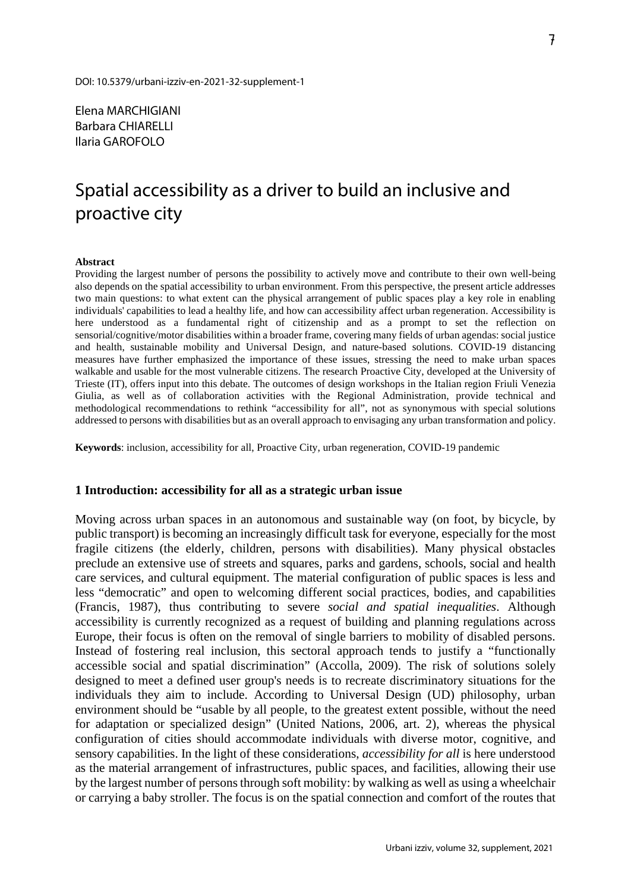Elena MARCHIGIANI Barbara CHIARELLI Ilaria GAROFOLO

# Spatial accessibility as a driver to build an inclusive and proactive city

#### **Abstract**

Providing the largest number of persons the possibility to actively move and contribute to their own well-being also depends on the spatial accessibility to urban environment. From this perspective, the present article addresses two main questions: to what extent can the physical arrangement of public spaces play a key role in enabling individuals' capabilities to lead a healthy life, and how can accessibility affect urban regeneration. Accessibility is here understood as a fundamental right of citizenship and as a prompt to set the reflection on sensorial/cognitive/motor disabilities within a broader frame, covering many fields of urban agendas: social justice and health, sustainable mobility and Universal Design, and nature-based solutions. COVID-19 distancing measures have further emphasized the importance of these issues, stressing the need to make urban spaces walkable and usable for the most vulnerable citizens. The research Proactive City, developed at the University of Trieste (IT), offers input into this debate. The outcomes of design workshops in the Italian region Friuli Venezia Giulia, as well as of collaboration activities with the Regional Administration, provide technical and methodological recommendations to rethink "accessibility for all", not as synonymous with special solutions addressed to persons with disabilities but as an overall approach to envisaging any urban transformation and policy.

**Keywords**: inclusion, accessibility for all, Proactive City, urban regeneration, COVID-19 pandemic

#### **1 Introduction: accessibility for all as a strategic urban issue**

Moving across urban spaces in an autonomous and sustainable way (on foot, by bicycle, by public transport) is becoming an increasingly difficult task for everyone, especially for the most fragile citizens (the elderly, children, persons with disabilities). Many physical obstacles preclude an extensive use of streets and squares, parks and gardens, schools, social and health care services, and cultural equipment. The material configuration of public spaces is less and less "democratic" and open to welcoming different social practices, bodies, and capabilities (Francis, 1987), thus contributing to severe *social and spatial inequalities*. Although accessibility is currently recognized as a request of building and planning regulations across Europe, their focus is often on the removal of single barriers to mobility of disabled persons. Instead of fostering real inclusion, this sectoral approach tends to justify a "functionally accessible social and spatial discrimination" (Accolla, 2009). The risk of solutions solely designed to meet a defined user group's needs is to recreate discriminatory situations for the individuals they aim to include. According to Universal Design (UD) philosophy, urban environment should be "usable by all people, to the greatest extent possible, without the need for adaptation or specialized design" (United Nations, 2006, art. 2), whereas the physical configuration of cities should accommodate individuals with diverse motor, cognitive, and sensory capabilities. In the light of these considerations, *accessibility for all* is here understood as the material arrangement of infrastructures, public spaces, and facilities, allowing their use by the largest number of persons through soft mobility: by walking as well as using a wheelchair or carrying a baby stroller. The focus is on the spatial connection and comfort of the routes that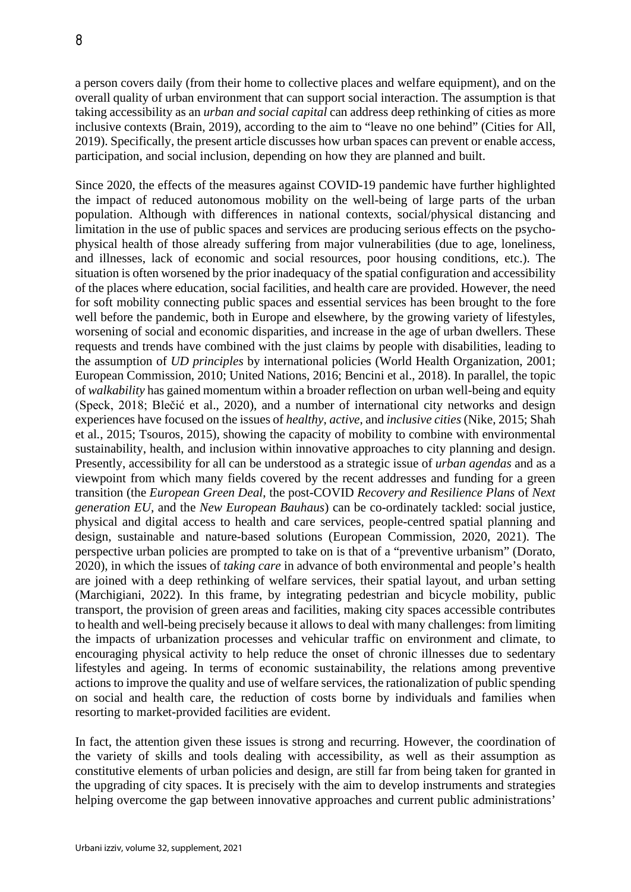a person covers daily (from their home to collective places and welfare equipment), and on the overall quality of urban environment that can support social interaction. The assumption is that taking accessibility as an *urban and social capital* can address deep rethinking of cities as more inclusive contexts (Brain, 2019), according to the aim to "leave no one behind" (Cities for All, 2019). Specifically, the present article discusses how urban spaces can prevent or enable access, participation, and social inclusion, depending on how they are planned and built.

Since 2020, the effects of the measures against COVID-19 pandemic have further highlighted the impact of reduced autonomous mobility on the well-being of large parts of the urban population. Although with differences in national contexts, social/physical distancing and limitation in the use of public spaces and services are producing serious effects on the psychophysical health of those already suffering from major vulnerabilities (due to age, loneliness, and illnesses, lack of economic and social resources, poor housing conditions, etc.). The situation is often worsened by the prior inadequacy of the spatial configuration and accessibility of the places where education, social facilities, and health care are provided. However, the need for soft mobility connecting public spaces and essential services has been brought to the fore well before the pandemic, both in Europe and elsewhere, by the growing variety of lifestyles, worsening of social and economic disparities, and increase in the age of urban dwellers. These requests and trends have combined with the just claims by people with disabilities, leading to the assumption of *UD principles* by international policies (World Health Organization, 2001; European Commission, 2010; United Nations, 2016; Bencini et al., 2018). In parallel, the topic of *walkability* has gained momentum within a broader reflection on urban well-being and equity (Speck, 2018; Blečić et al., 2020), and a number of international city networks and design experiences have focused on the issues of *healthy*, *active*, and *inclusive cities* (Nike, 2015; Shah et al*.*, 2015; Tsouros, 2015), showing the capacity of mobility to combine with environmental sustainability, health, and inclusion within innovative approaches to city planning and design. Presently, accessibility for all can be understood as a strategic issue of *urban agendas* and as a viewpoint from which many fields covered by the recent addresses and funding for a green transition (the *European Green Deal*, the post-COVID *Recovery and Resilience Plans* of *Next generation EU*, and the *New European Bauhaus*) can be co-ordinately tackled: social justice, physical and digital access to health and care services, people-centred spatial planning and design, sustainable and nature-based solutions (European Commission, 2020, 2021). The perspective urban policies are prompted to take on is that of a "preventive urbanism" (Dorato, 2020), in which the issues of *taking care* in advance of both environmental and people's health are joined with a deep rethinking of welfare services, their spatial layout, and urban setting (Marchigiani, 2022). In this frame, by integrating pedestrian and bicycle mobility, public transport, the provision of green areas and facilities, making city spaces accessible contributes to health and well-being precisely because it allows to deal with many challenges: from limiting the impacts of urbanization processes and vehicular traffic on environment and climate, to encouraging physical activity to help reduce the onset of chronic illnesses due to sedentary lifestyles and ageing. In terms of economic sustainability, the relations among preventive actions to improve the quality and use of welfare services, the rationalization of public spending on social and health care, the reduction of costs borne by individuals and families when resorting to market-provided facilities are evident.

In fact, the attention given these issues is strong and recurring. However, the coordination of the variety of skills and tools dealing with accessibility, as well as their assumption as constitutive elements of urban policies and design, are still far from being taken for granted in the upgrading of city spaces. It is precisely with the aim to develop instruments and strategies helping overcome the gap between innovative approaches and current public administrations'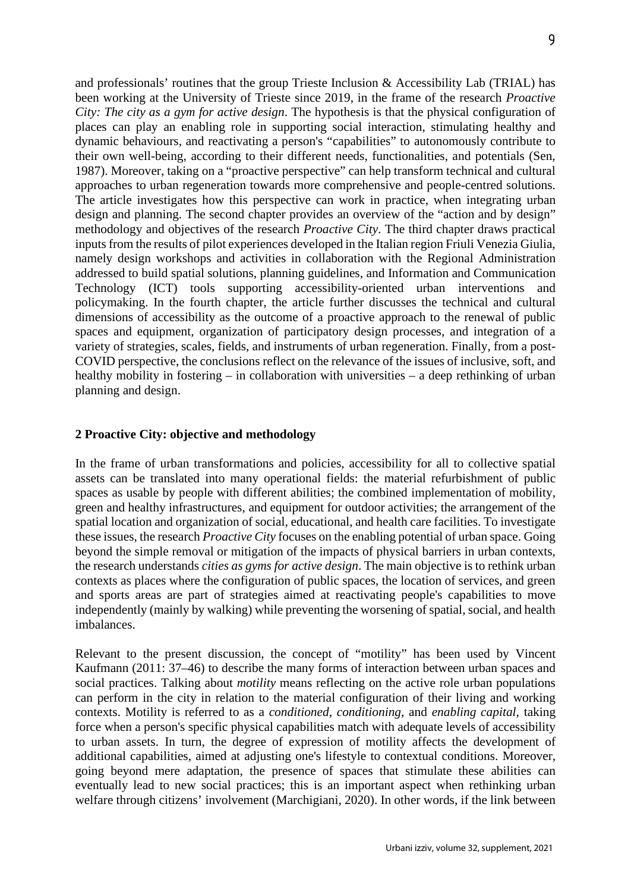and professionals' routines that the group Trieste Inclusion & Accessibility Lab (TRIAL) has been working at the University of Trieste since 2019, in the frame of the research *Proactive City: The city as a gym for active design*. The hypothesis is that the physical configuration of places can play an enabling role in supporting social interaction, stimulating healthy and dynamic behaviours, and reactivating a person's "capabilities" to autonomously contribute to their own well-being, according to their different needs, functionalities, and potentials (Sen, 1987). Moreover, taking on a "proactive perspective" can help transform technical and cultural approaches to urban regeneration towards more comprehensive and people-centred solutions. The article investigates how this perspective can work in practice, when integrating urban design and planning. The second chapter provides an overview of the "action and by design" methodology and objectives of the research *Proactive City*. The third chapter draws practical inputs from the results of pilot experiences developed in the Italian region Friuli Venezia Giulia, namely design workshops and activities in collaboration with the Regional Administration addressed to build spatial solutions, planning guidelines, and Information and Communication Technology (ICT) tools supporting accessibility-oriented urban interventions and policymaking. In the fourth chapter, the article further discusses the technical and cultural dimensions of accessibility as the outcome of a proactive approach to the renewal of public spaces and equipment, organization of participatory design processes, and integration of a variety of strategies, scales, fields, and instruments of urban regeneration. Finally, from a post-COVID perspective, the conclusions reflect on the relevance of the issues of inclusive, soft, and healthy mobility in fostering – in collaboration with universities – a deep rethinking of urban planning and design.

## **2 Proactive City: objective and methodology**

In the frame of urban transformations and policies, accessibility for all to collective spatial assets can be translated into many operational fields: the material refurbishment of public spaces as usable by people with different abilities; the combined implementation of mobility, green and healthy infrastructures, and equipment for outdoor activities; the arrangement of the spatial location and organization of social, educational, and health care facilities. To investigate these issues, the research *Proactive City* focuses on the enabling potential of urban space. Going beyond the simple removal or mitigation of the impacts of physical barriers in urban contexts, the research understands *cities as gyms for active design*. The main objective is to rethink urban contexts as places where the configuration of public spaces, the location of services, and green and sports areas are part of strategies aimed at reactivating people's capabilities to move independently (mainly by walking) while preventing the worsening of spatial, social, and health imbalances.

Relevant to the present discussion, the concept of "motility" has been used by Vincent Kaufmann (2011: 37–46) to describe the many forms of interaction between urban spaces and social practices. Talking about *motility* means reflecting on the active role urban populations can perform in the city in relation to the material configuration of their living and working contexts. Motility is referred to as a *conditioned*, *conditioning*, and *enabling capital*, taking force when a person's specific physical capabilities match with adequate levels of accessibility to urban assets. In turn, the degree of expression of motility affects the development of additional capabilities, aimed at adjusting one's lifestyle to contextual conditions. Moreover, going beyond mere adaptation, the presence of spaces that stimulate these abilities can eventually lead to new social practices; this is an important aspect when rethinking urban welfare through citizens' involvement (Marchigiani, 2020). In other words, if the link between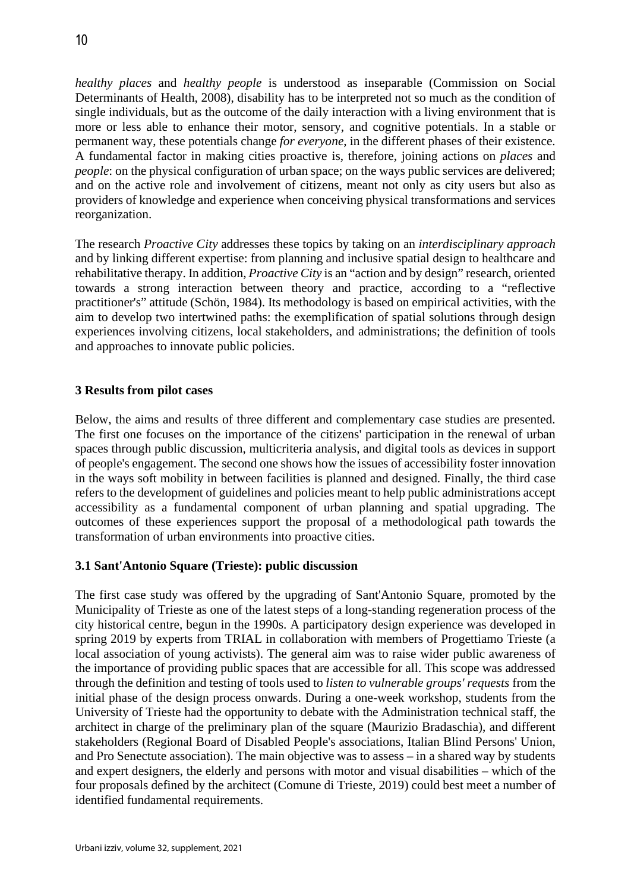*healthy places* and *healthy people* is understood as inseparable (Commission on Social Determinants of Health, 2008), disability has to be interpreted not so much as the condition of single individuals, but as the outcome of the daily interaction with a living environment that is more or less able to enhance their motor, sensory, and cognitive potentials. In a stable or permanent way, these potentials change *for everyone*, in the different phases of their existence. A fundamental factor in making cities proactive is, therefore, joining actions on *places* and *people*: on the physical configuration of urban space; on the ways public services are delivered; and on the active role and involvement of citizens, meant not only as city users but also as providers of knowledge and experience when conceiving physical transformations and services reorganization.

The research *Proactive City* addresses these topics by taking on an *interdisciplinary approach* and by linking different expertise: from planning and inclusive spatial design to healthcare and rehabilitative therapy. In addition, *Proactive City* is an "action and by design" research, oriented towards a strong interaction between theory and practice, according to a "reflective practitioner's" attitude (Schön, 1984). Its methodology is based on empirical activities, with the aim to develop two intertwined paths: the exemplification of spatial solutions through design experiences involving citizens, local stakeholders, and administrations; the definition of tools and approaches to innovate public policies.

# **3 Results from pilot cases**

Below, the aims and results of three different and complementary case studies are presented. The first one focuses on the importance of the citizens' participation in the renewal of urban spaces through public discussion, multicriteria analysis, and digital tools as devices in support of people's engagement. The second one shows how the issues of accessibility foster innovation in the ways soft mobility in between facilities is planned and designed. Finally, the third case refers to the development of guidelines and policies meant to help public administrations accept accessibility as a fundamental component of urban planning and spatial upgrading. The outcomes of these experiences support the proposal of a methodological path towards the transformation of urban environments into proactive cities.

## **3.1 Sant'Antonio Square (Trieste): public discussion**

The first case study was offered by the upgrading of Sant'Antonio Square, promoted by the Municipality of Trieste as one of the latest steps of a long-standing regeneration process of the city historical centre, begun in the 1990s. A participatory design experience was developed in spring 2019 by experts from TRIAL in collaboration with members of Progettiamo Trieste (a local association of young activists). The general aim was to raise wider public awareness of the importance of providing public spaces that are accessible for all. This scope was addressed through the definition and testing of tools used to *listen to vulnerable groups' requests* from the initial phase of the design process onwards. During a one-week workshop, students from the University of Trieste had the opportunity to debate with the Administration technical staff, the architect in charge of the preliminary plan of the square (Maurizio Bradaschia), and different stakeholders (Regional Board of Disabled People's associations, Italian Blind Persons' Union, and Pro Senectute association). The main objective was to assess – in a shared way by students and expert designers, the elderly and persons with motor and visual disabilities – which of the four proposals defined by the architect (Comune di Trieste, 2019) could best meet a number of identified fundamental requirements.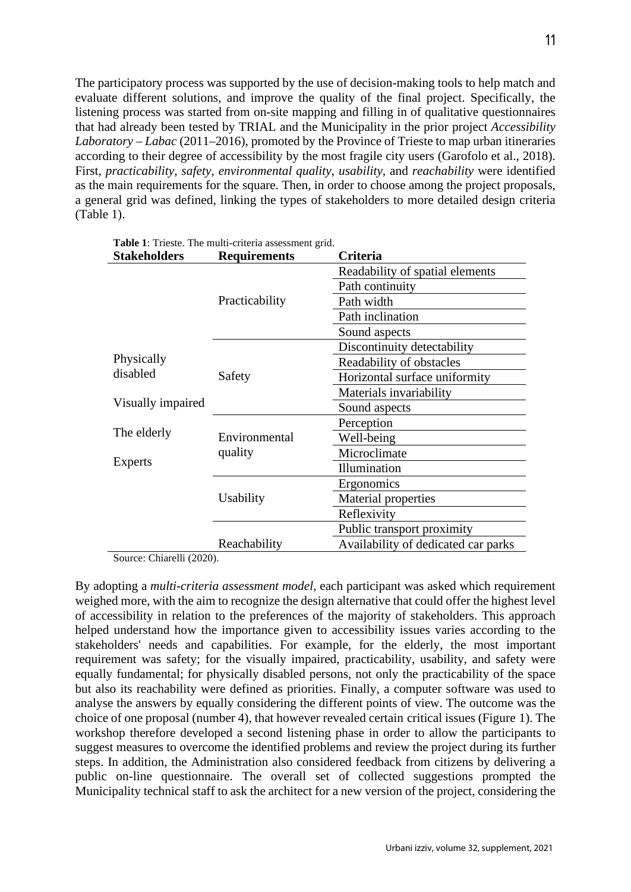The participatory process was supported by the use of decision-making tools to help match and evaluate different solutions, and improve the quality of the final project. Specifically, the listening process was started from on-site mapping and filling in of qualitative questionnaires that had already been tested by TRIAL and the Municipality in the prior project *Accessibility Laboratory – Labac* (2011–2016), promoted by the Province of Trieste to map urban itineraries according to their degree of accessibility by the most fragile city users (Garofolo et al., 2018). First, *practicability, safety, environmental quality*, *usability*, and *reachability* were identified as the main requirements for the square. Then, in order to choose among the project proposals, a general grid was defined, linking the types of stakeholders to more detailed design criteria (Table 1).

| <b>Stakeholders</b>                         | <b>Requirements</b>      | Criteria                            |
|---------------------------------------------|--------------------------|-------------------------------------|
|                                             | Practicability           | Readability of spatial elements     |
|                                             |                          | Path continuity                     |
|                                             |                          | Path width                          |
|                                             |                          | Path inclination                    |
|                                             |                          | Sound aspects                       |
| Physically<br>disabled<br>Visually impaired | Safety                   | Discontinuity detectability         |
|                                             |                          | Readability of obstacles            |
|                                             |                          | Horizontal surface uniformity       |
|                                             |                          | Materials invariability             |
|                                             |                          | Sound aspects                       |
| The elderly<br>Experts                      | Environmental<br>quality | Perception                          |
|                                             |                          | Well-being                          |
|                                             |                          | Microclimate                        |
|                                             |                          | Illumination                        |
|                                             | Usability                | Ergonomics                          |
|                                             |                          | Material properties                 |
|                                             |                          | Reflexivity                         |
|                                             |                          | Public transport proximity          |
|                                             | Reachability             | Availability of dedicated car parks |

**Table 1**: Trieste. The multi-criteria assessment grid.

Source: Chiarelli (2020).

By adopting a *multi-criteria assessment model*, each participant was asked which requirement weighed more, with the aim to recognize the design alternative that could offer the highest level of accessibility in relation to the preferences of the majority of stakeholders. This approach helped understand how the importance given to accessibility issues varies according to the stakeholders' needs and capabilities. For example, for the elderly, the most important requirement was safety; for the visually impaired, practicability, usability, and safety were equally fundamental; for physically disabled persons, not only the practicability of the space but also its reachability were defined as priorities. Finally, a computer software was used to analyse the answers by equally considering the different points of view. The outcome was the choice of one proposal (number 4), that however revealed certain critical issues (Figure 1). The workshop therefore developed a second listening phase in order to allow the participants to suggest measures to overcome the identified problems and review the project during its further steps. In addition, the Administration also considered feedback from citizens by delivering a public on-line questionnaire. The overall set of collected suggestions prompted the Municipality technical staff to ask the architect for a new version of the project, considering the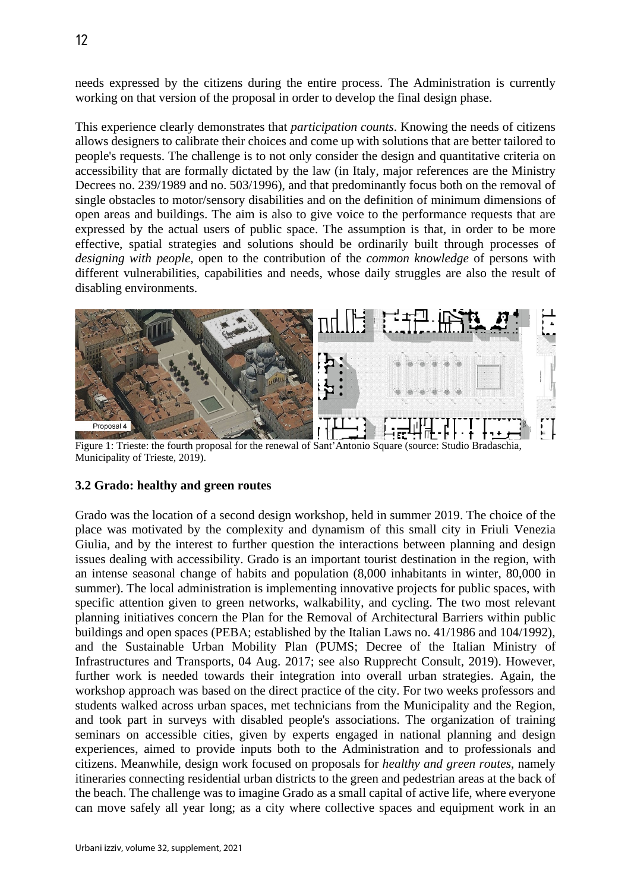needs expressed by the citizens during the entire process. The Administration is currently working on that version of the proposal in order to develop the final design phase.

This experience clearly demonstrates that *participation counts*. Knowing the needs of citizens allows designers to calibrate their choices and come up with solutions that are better tailored to people's requests. The challenge is to not only consider the design and quantitative criteria on accessibility that are formally dictated by the law (in Italy, major references are the Ministry Decrees no. 239/1989 and no. 503/1996), and that predominantly focus both on the removal of single obstacles to motor/sensory disabilities and on the definition of minimum dimensions of open areas and buildings. The aim is also to give voice to the performance requests that are expressed by the actual users of public space. The assumption is that, in order to be more effective, spatial strategies and solutions should be ordinarily built through processes of *designing with people*, open to the contribution of the *common knowledge* of persons with different vulnerabilities, capabilities and needs, whose daily struggles are also the result of disabling environments.



Figure 1: Trieste: the fourth proposal for the renewal of Sant'Antonio Square (source: Studio Bradaschia, Municipality of Trieste, 2019).

# **3.2 Grado: healthy and green routes**

Grado was the location of a second design workshop, held in summer 2019. The choice of the place was motivated by the complexity and dynamism of this small city in Friuli Venezia Giulia, and by the interest to further question the interactions between planning and design issues dealing with accessibility. Grado is an important tourist destination in the region, with an intense seasonal change of habits and population (8,000 inhabitants in winter, 80,000 in summer). The local administration is implementing innovative projects for public spaces, with specific attention given to green networks, walkability, and cycling. The two most relevant planning initiatives concern the Plan for the Removal of Architectural Barriers within public buildings and open spaces (PEBA; established by the Italian Laws no. 41/1986 and 104/1992), and the Sustainable Urban Mobility Plan (PUMS; Decree of the Italian Ministry of Infrastructures and Transports, 04 Aug. 2017; see also Rupprecht Consult, 2019). However, further work is needed towards their integration into overall urban strategies. Again, the workshop approach was based on the direct practice of the city. For two weeks professors and students walked across urban spaces, met technicians from the Municipality and the Region, and took part in surveys with disabled people's associations. The organization of training seminars on accessible cities, given by experts engaged in national planning and design experiences, aimed to provide inputs both to the Administration and to professionals and citizens. Meanwhile, design work focused on proposals for *healthy and green routes*, namely itineraries connecting residential urban districts to the green and pedestrian areas at the back of the beach. The challenge was to imagine Grado as a small capital of active life, where everyone can move safely all year long; as a city where collective spaces and equipment work in an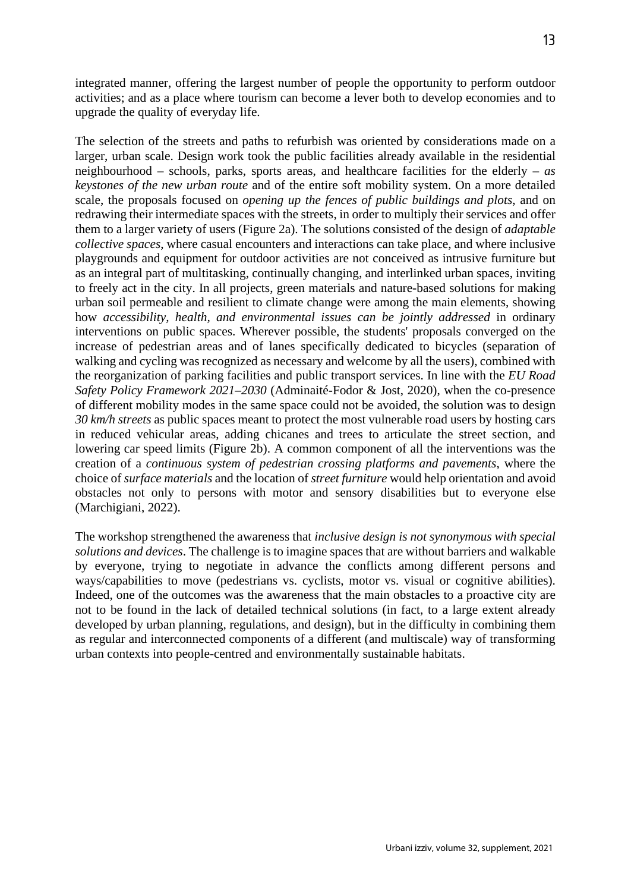integrated manner, offering the largest number of people the opportunity to perform outdoor activities; and as a place where tourism can become a lever both to develop economies and to upgrade the quality of everyday life.

The selection of the streets and paths to refurbish was oriented by considerations made on a larger, urban scale. Design work took the public facilities already available in the residential neighbourhood – schools, parks, sports areas, and healthcare facilities for the elderly – *as keystones of the new urban route* and of the entire soft mobility system. On a more detailed scale, the proposals focused on *opening up the fences of public buildings and plots*, and on redrawing their intermediate spaces with the streets, in order to multiply their services and offer them to a larger variety of users (Figure 2a). The solutions consisted of the design of *adaptable collective spaces*, where casual encounters and interactions can take place, and where inclusive playgrounds and equipment for outdoor activities are not conceived as intrusive furniture but as an integral part of multitasking, continually changing, and interlinked urban spaces, inviting to freely act in the city. In all projects, green materials and nature-based solutions for making urban soil permeable and resilient to climate change were among the main elements, showing how *accessibility, health, and environmental issues can be jointly addressed* in ordinary interventions on public spaces. Wherever possible, the students' proposals converged on the increase of pedestrian areas and of lanes specifically dedicated to bicycles (separation of walking and cycling was recognized as necessary and welcome by all the users), combined with the reorganization of parking facilities and public transport services. In line with the *EU Road Safety Policy Framework 2021–2030* (Adminaité-Fodor & Jost, 2020), when the co-presence of different mobility modes in the same space could not be avoided, the solution was to design *30 km/h streets* as public spaces meant to protect the most vulnerable road users by hosting cars in reduced vehicular areas, adding chicanes and trees to articulate the street section, and lowering car speed limits (Figure 2b). A common component of all the interventions was the creation of a *continuous system of pedestrian crossing platforms and pavements*, where the choice of *surface materials* and the location of *street furniture* would help orientation and avoid obstacles not only to persons with motor and sensory disabilities but to everyone else (Marchigiani, 2022).

The workshop strengthened the awareness that *inclusive design is not synonymous with special solutions and devices*. The challenge is to imagine spaces that are without barriers and walkable by everyone, trying to negotiate in advance the conflicts among different persons and ways/capabilities to move (pedestrians vs. cyclists, motor vs. visual or cognitive abilities). Indeed, one of the outcomes was the awareness that the main obstacles to a proactive city are not to be found in the lack of detailed technical solutions (in fact, to a large extent already developed by urban planning, regulations, and design), but in the difficulty in combining them as regular and interconnected components of a different (and multiscale) way of transforming urban contexts into people-centred and environmentally sustainable habitats.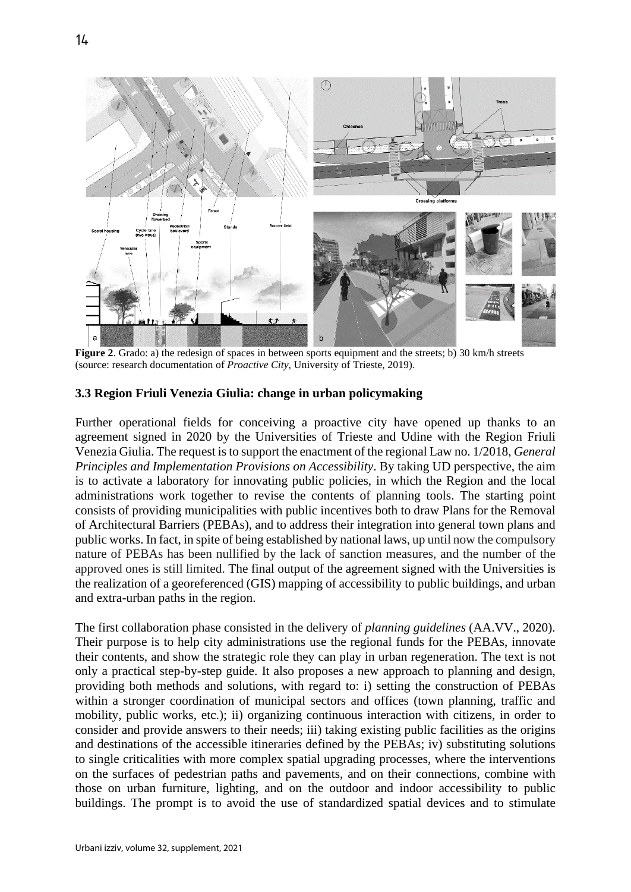

**Figure 2.** Grado: a) the redesign of spaces in between sports equipment and the streets; b) 30 km/h streets (source: research documentation of *Proactive City*, University of Trieste, 2019).

## **3.3 Region Friuli Venezia Giulia: change in urban policymaking**

Further operational fields for conceiving a proactive city have opened up thanks to an agreement signed in 2020 by the Universities of Trieste and Udine with the Region Friuli Venezia Giulia. The request is to support the enactment of the regional Law no. 1/2018, *General Principles and Implementation Provisions on Accessibility*. By taking UD perspective, the aim is to activate a laboratory for innovating public policies, in which the Region and the local administrations work together to revise the contents of planning tools. The starting point consists of providing municipalities with public incentives both to draw Plans for the Removal of Architectural Barriers (PEBAs), and to address their integration into general town plans and public works. In fact, in spite of being established by national laws, up until now the compulsory nature of PEBAs has been nullified by the lack of sanction measures, and the number of the approved ones is still limited. The final output of the agreement signed with the Universities is the realization of a georeferenced (GIS) mapping of accessibility to public buildings, and urban and extra-urban paths in the region.

The first collaboration phase consisted in the delivery of *planning guidelines* (AA.VV., 2020). Their purpose is to help city administrations use the regional funds for the PEBAs, innovate their contents, and show the strategic role they can play in urban regeneration. The text is not only a practical step-by-step guide. It also proposes a new approach to planning and design, providing both methods and solutions, with regard to: i) setting the construction of PEBAs within a stronger coordination of municipal sectors and offices (town planning, traffic and mobility, public works, etc.); ii) organizing continuous interaction with citizens, in order to consider and provide answers to their needs; iii) taking existing public facilities as the origins and destinations of the accessible itineraries defined by the PEBAs; iv) substituting solutions to single criticalities with more complex spatial upgrading processes, where the interventions on the surfaces of pedestrian paths and pavements, and on their connections, combine with those on urban furniture, lighting, and on the outdoor and indoor accessibility to public buildings. The prompt is to avoid the use of standardized spatial devices and to stimulate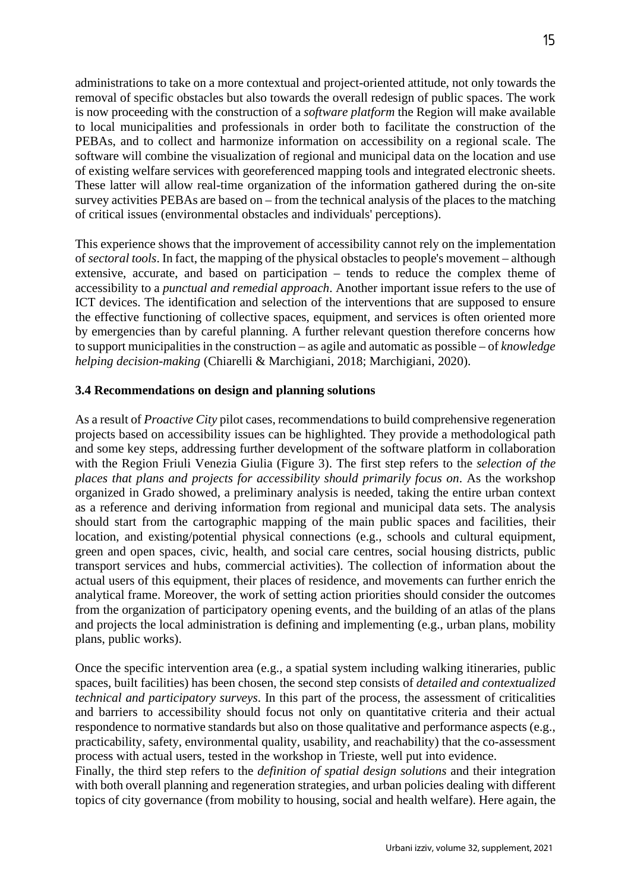administrations to take on a more contextual and project-oriented attitude, not only towards the removal of specific obstacles but also towards the overall redesign of public spaces. The work is now proceeding with the construction of a *software platform* the Region will make available to local municipalities and professionals in order both to facilitate the construction of the PEBAs, and to collect and harmonize information on accessibility on a regional scale. The software will combine the visualization of regional and municipal data on the location and use of existing welfare services with georeferenced mapping tools and integrated electronic sheets. These latter will allow real-time organization of the information gathered during the on-site survey activities PEBAs are based on – from the technical analysis of the places to the matching of critical issues (environmental obstacles and individuals' perceptions).

This experience shows that the improvement of accessibility cannot rely on the implementation of *sectoral tools*. In fact, the mapping of the physical obstacles to people's movement – although extensive, accurate, and based on participation – tends to reduce the complex theme of accessibility to a *punctual and remedial approach*. Another important issue refers to the use of ICT devices. The identification and selection of the interventions that are supposed to ensure the effective functioning of collective spaces, equipment, and services is often oriented more by emergencies than by careful planning. A further relevant question therefore concerns how to support municipalities in the construction – as agile and automatic as possible – of *knowledge helping decision-making* (Chiarelli & Marchigiani, 2018; Marchigiani, 2020).

# **3.4 Recommendations on design and planning solutions**

As a result of *Proactive City* pilot cases, recommendations to build comprehensive regeneration projects based on accessibility issues can be highlighted. They provide a methodological path and some key steps, addressing further development of the software platform in collaboration with the Region Friuli Venezia Giulia (Figure 3). The first step refers to the *selection of the places that plans and projects for accessibility should primarily focus on*. As the workshop organized in Grado showed, a preliminary analysis is needed, taking the entire urban context as a reference and deriving information from regional and municipal data sets. The analysis should start from the cartographic mapping of the main public spaces and facilities, their location, and existing/potential physical connections (e.g., schools and cultural equipment, green and open spaces, civic, health, and social care centres, social housing districts, public transport services and hubs, commercial activities). The collection of information about the actual users of this equipment, their places of residence, and movements can further enrich the analytical frame. Moreover, the work of setting action priorities should consider the outcomes from the organization of participatory opening events, and the building of an atlas of the plans and projects the local administration is defining and implementing (e.g., urban plans, mobility plans, public works).

Once the specific intervention area (e.g., a spatial system including walking itineraries, public spaces, built facilities) has been chosen, the second step consists of *detailed and contextualized technical and participatory surveys*. In this part of the process, the assessment of criticalities and barriers to accessibility should focus not only on quantitative criteria and their actual respondence to normative standards but also on those qualitative and performance aspects (e.g., practicability, safety, environmental quality, usability, and reachability) that the co-assessment process with actual users, tested in the workshop in Trieste, well put into evidence.

Finally, the third step refers to the *definition of spatial design solutions* and their integration with both overall planning and regeneration strategies, and urban policies dealing with different topics of city governance (from mobility to housing, social and health welfare). Here again, the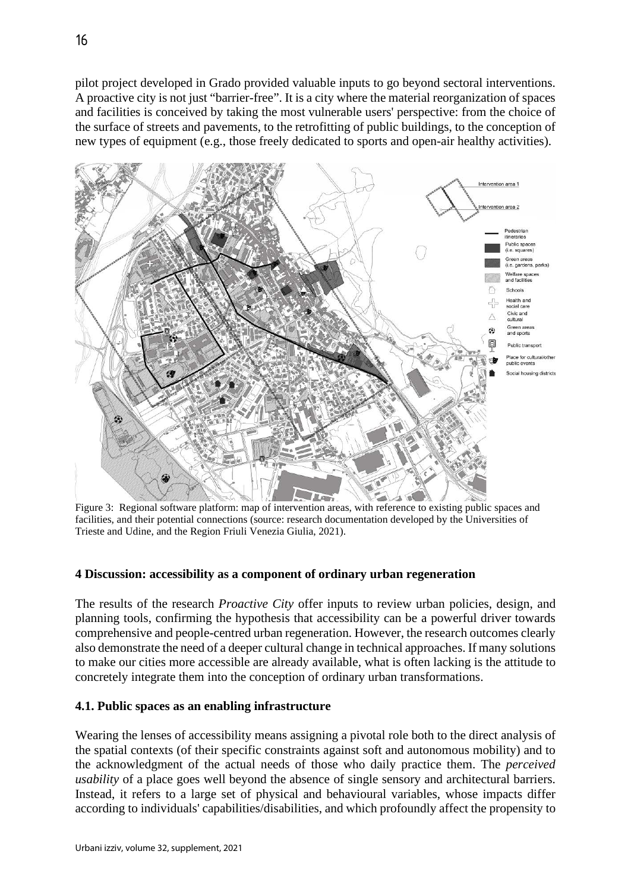pilot project developed in Grado provided valuable inputs to go beyond sectoral interventions. A proactive city is not just "barrier-free". It is a city where the material reorganization of spaces and facilities is conceived by taking the most vulnerable users' perspective: from the choice of the surface of streets and pavements, to the retrofitting of public buildings, to the conception of new types of equipment (e.g., those freely dedicated to sports and open-air healthy activities).



facilities, and their potential connections (source: research documentation developed by the Universities of Trieste and Udine, and the Region Friuli Venezia Giulia, 2021).

# **4 Discussion: accessibility as a component of ordinary urban regeneration**

The results of the research *Proactive City* offer inputs to review urban policies, design, and planning tools, confirming the hypothesis that accessibility can be a powerful driver towards comprehensive and people-centred urban regeneration. However, the research outcomes clearly also demonstrate the need of a deeper cultural change in technical approaches. If many solutions to make our cities more accessible are already available, what is often lacking is the attitude to concretely integrate them into the conception of ordinary urban transformations.

## **4.1. Public spaces as an enabling infrastructure**

Wearing the lenses of accessibility means assigning a pivotal role both to the direct analysis of the spatial contexts (of their specific constraints against soft and autonomous mobility) and to the acknowledgment of the actual needs of those who daily practice them. The *perceived usability* of a place goes well beyond the absence of single sensory and architectural barriers. Instead, it refers to a large set of physical and behavioural variables, whose impacts differ according to individuals' capabilities/disabilities, and which profoundly affect the propensity to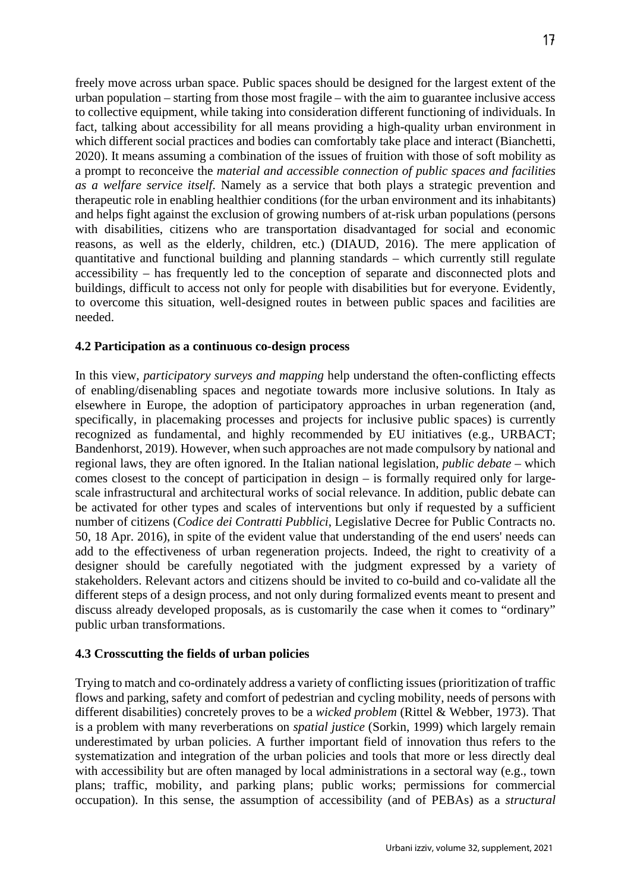freely move across urban space. Public spaces should be designed for the largest extent of the urban population – starting from those most fragile – with the aim to guarantee inclusive access to collective equipment, while taking into consideration different functioning of individuals. In fact, talking about accessibility for all means providing a high-quality urban environment in which different social practices and bodies can comfortably take place and interact (Bianchetti, 2020). It means assuming a combination of the issues of fruition with those of soft mobility as a prompt to reconceive the *material and accessible connection of public spaces and facilities as a welfare service itself*. Namely as a service that both plays a strategic prevention and therapeutic role in enabling healthier conditions (for the urban environment and its inhabitants) and helps fight against the exclusion of growing numbers of at-risk urban populations (persons with disabilities, citizens who are transportation disadvantaged for social and economic reasons, as well as the elderly, children, etc.) (DIAUD, 2016). The mere application of quantitative and functional building and planning standards – which currently still regulate accessibility – has frequently led to the conception of separate and disconnected plots and buildings, difficult to access not only for people with disabilities but for everyone. Evidently, to overcome this situation, well-designed routes in between public spaces and facilities are needed.

# **4.2 Participation as a continuous co-design process**

In this view, *participatory surveys and mapping* help understand the often-conflicting effects of enabling/disenabling spaces and negotiate towards more inclusive solutions. In Italy as elsewhere in Europe, the adoption of participatory approaches in urban regeneration (and, specifically, in placemaking processes and projects for inclusive public spaces) is currently recognized as fundamental, and highly recommended by EU initiatives (e.g., URBACT; Bandenhorst, 2019). However, when such approaches are not made compulsory by national and regional laws, they are often ignored. In the Italian national legislation, *public debate* – which comes closest to the concept of participation in design – is formally required only for largescale infrastructural and architectural works of social relevance. In addition, public debate can be activated for other types and scales of interventions but only if requested by a sufficient number of citizens (*Codice dei Contratti Pubblici*, Legislative Decree for Public Contracts no. 50, 18 Apr. 2016), in spite of the evident value that understanding of the end users' needs can add to the effectiveness of urban regeneration projects. Indeed, the right to creativity of a designer should be carefully negotiated with the judgment expressed by a variety of stakeholders. Relevant actors and citizens should be invited to co-build and co-validate all the different steps of a design process, and not only during formalized events meant to present and discuss already developed proposals, as is customarily the case when it comes to "ordinary" public urban transformations.

# **4.3 Crosscutting the fields of urban policies**

Trying to match and co-ordinately address a variety of conflicting issues (prioritization of traffic flows and parking, safety and comfort of pedestrian and cycling mobility, needs of persons with different disabilities) concretely proves to be a *wicked problem* (Rittel & Webber, 1973). That is a problem with many reverberations on *spatial justice* (Sorkin, 1999) which largely remain underestimated by urban policies. A further important field of innovation thus refers to the systematization and integration of the urban policies and tools that more or less directly deal with accessibility but are often managed by local administrations in a sectoral way (e.g., town plans; traffic, mobility, and parking plans; public works; permissions for commercial occupation). In this sense, the assumption of accessibility (and of PEBAs) as a *structural*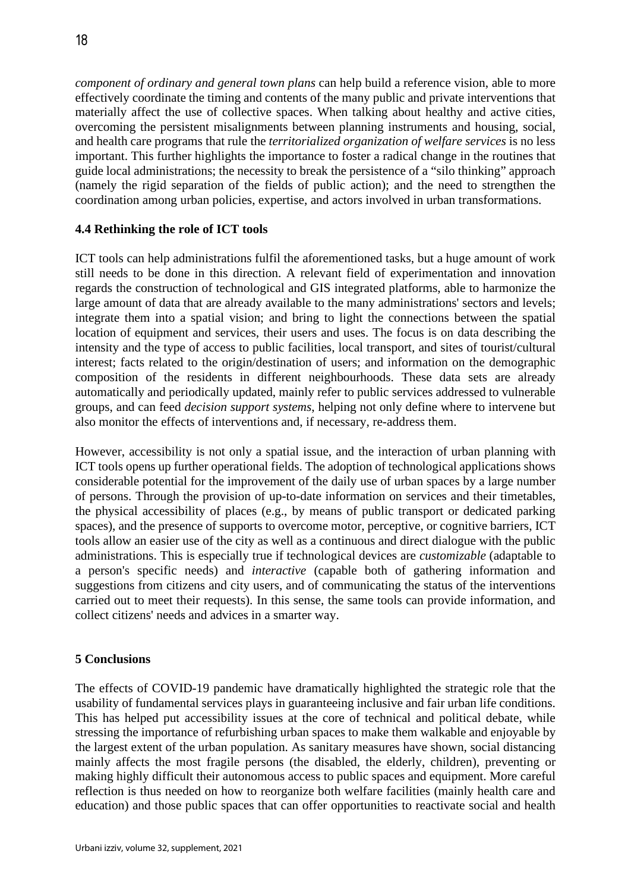*component of ordinary and general town plans* can help build a reference vision, able to more effectively coordinate the timing and contents of the many public and private interventions that materially affect the use of collective spaces. When talking about healthy and active cities, overcoming the persistent misalignments between planning instruments and housing, social, and health care programs that rule the *territorialized organization of welfare services* is no less important. This further highlights the importance to foster a radical change in the routines that guide local administrations; the necessity to break the persistence of a "silo thinking" approach (namely the rigid separation of the fields of public action); and the need to strengthen the coordination among urban policies, expertise, and actors involved in urban transformations.

# **4.4 Rethinking the role of ICT tools**

ICT tools can help administrations fulfil the aforementioned tasks, but a huge amount of work still needs to be done in this direction. A relevant field of experimentation and innovation regards the construction of technological and GIS integrated platforms, able to harmonize the large amount of data that are already available to the many administrations' sectors and levels; integrate them into a spatial vision; and bring to light the connections between the spatial location of equipment and services, their users and uses. The focus is on data describing the intensity and the type of access to public facilities, local transport, and sites of tourist/cultural interest; facts related to the origin/destination of users; and information on the demographic composition of the residents in different neighbourhoods. These data sets are already automatically and periodically updated, mainly refer to public services addressed to vulnerable groups, and can feed *decision support systems*, helping not only define where to intervene but also monitor the effects of interventions and, if necessary, re-address them.

However, accessibility is not only a spatial issue, and the interaction of urban planning with ICT tools opens up further operational fields. The adoption of technological applications shows considerable potential for the improvement of the daily use of urban spaces by a large number of persons. Through the provision of up-to-date information on services and their timetables, the physical accessibility of places (e.g., by means of public transport or dedicated parking spaces), and the presence of supports to overcome motor, perceptive, or cognitive barriers, ICT tools allow an easier use of the city as well as a continuous and direct dialogue with the public administrations. This is especially true if technological devices are *customizable* (adaptable to a person's specific needs) and *interactive* (capable both of gathering information and suggestions from citizens and city users, and of communicating the status of the interventions carried out to meet their requests). In this sense, the same tools can provide information, and collect citizens' needs and advices in a smarter way.

# **5 Conclusions**

The effects of COVID-19 pandemic have dramatically highlighted the strategic role that the usability of fundamental services plays in guaranteeing inclusive and fair urban life conditions. This has helped put accessibility issues at the core of technical and political debate, while stressing the importance of refurbishing urban spaces to make them walkable and enjoyable by the largest extent of the urban population. As sanitary measures have shown, social distancing mainly affects the most fragile persons (the disabled, the elderly, children), preventing or making highly difficult their autonomous access to public spaces and equipment. More careful reflection is thus needed on how to reorganize both welfare facilities (mainly health care and education) and those public spaces that can offer opportunities to reactivate social and health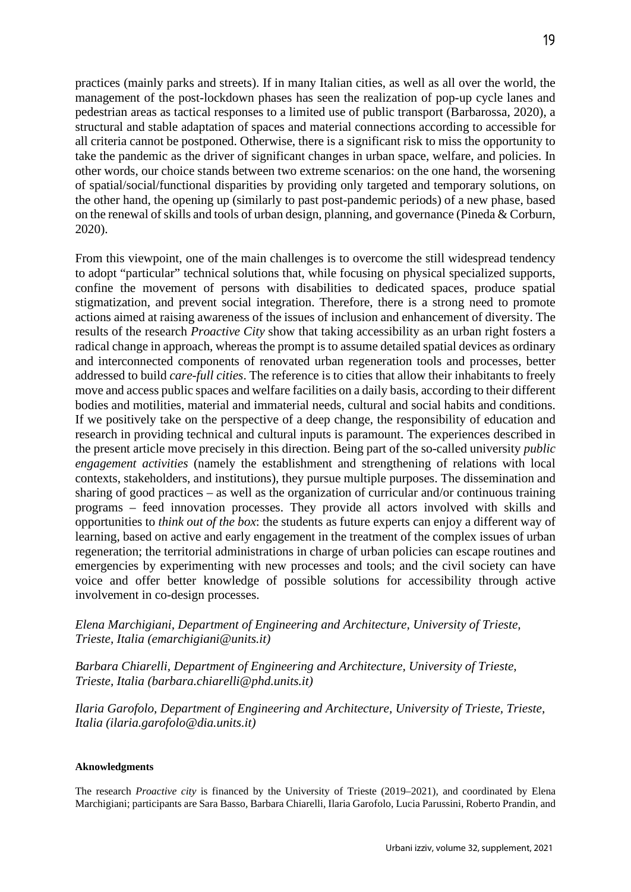practices (mainly parks and streets). If in many Italian cities, as well as all over the world, the management of the post-lockdown phases has seen the realization of pop-up cycle lanes and pedestrian areas as tactical responses to a limited use of public transport (Barbarossa, 2020), a structural and stable adaptation of spaces and material connections according to accessible for all criteria cannot be postponed. Otherwise, there is a significant risk to miss the opportunity to take the pandemic as the driver of significant changes in urban space, welfare, and policies. In other words, our choice stands between two extreme scenarios: on the one hand, the worsening of spatial/social/functional disparities by providing only targeted and temporary solutions, on the other hand, the opening up (similarly to past post-pandemic periods) of a new phase, based on the renewal of skills and tools of urban design, planning, and governance (Pineda & Corburn, 2020).

From this viewpoint, one of the main challenges is to overcome the still widespread tendency to adopt "particular" technical solutions that, while focusing on physical specialized supports, confine the movement of persons with disabilities to dedicated spaces, produce spatial stigmatization, and prevent social integration. Therefore, there is a strong need to promote actions aimed at raising awareness of the issues of inclusion and enhancement of diversity. The results of the research *Proactive City* show that taking accessibility as an urban right fosters a radical change in approach, whereas the prompt is to assume detailed spatial devices as ordinary and interconnected components of renovated urban regeneration tools and processes, better addressed to build *care-full cities*. The reference is to cities that allow their inhabitants to freely move and access public spaces and welfare facilities on a daily basis, according to their different bodies and motilities, material and immaterial needs, cultural and social habits and conditions. If we positively take on the perspective of a deep change, the responsibility of education and research in providing technical and cultural inputs is paramount. The experiences described in the present article move precisely in this direction. Being part of the so-called university *public engagement activities* (namely the establishment and strengthening of relations with local contexts, stakeholders, and institutions), they pursue multiple purposes. The dissemination and sharing of good practices – as well as the organization of curricular and/or continuous training programs – feed innovation processes. They provide all actors involved with skills and opportunities to *think out of the box*: the students as future experts can enjoy a different way of learning, based on active and early engagement in the treatment of the complex issues of urban regeneration; the territorial administrations in charge of urban policies can escape routines and emergencies by experimenting with new processes and tools; and the civil society can have voice and offer better knowledge of possible solutions for accessibility through active involvement in co-design processes.

# *Elena Marchigiani, Department of Engineering and Architecture, University of Trieste, Trieste, Italia (emarchigiani@units.it)*

## *Barbara Chiarelli, Department of Engineering and Architecture, University of Trieste, Trieste, Italia (barbara.chiarelli@phd.units.it)*

*Ilaria Garofolo, Department of Engineering and Architecture, University of Trieste, Trieste, Italia (ilaria.garofolo@dia.units.it)*

#### **Aknowledgments**

The research *Proactive city* is financed by the University of Trieste (2019–2021), and coordinated by Elena Marchigiani; participants are Sara Basso, Barbara Chiarelli, Ilaria Garofolo, Lucia Parussini, Roberto Prandin, and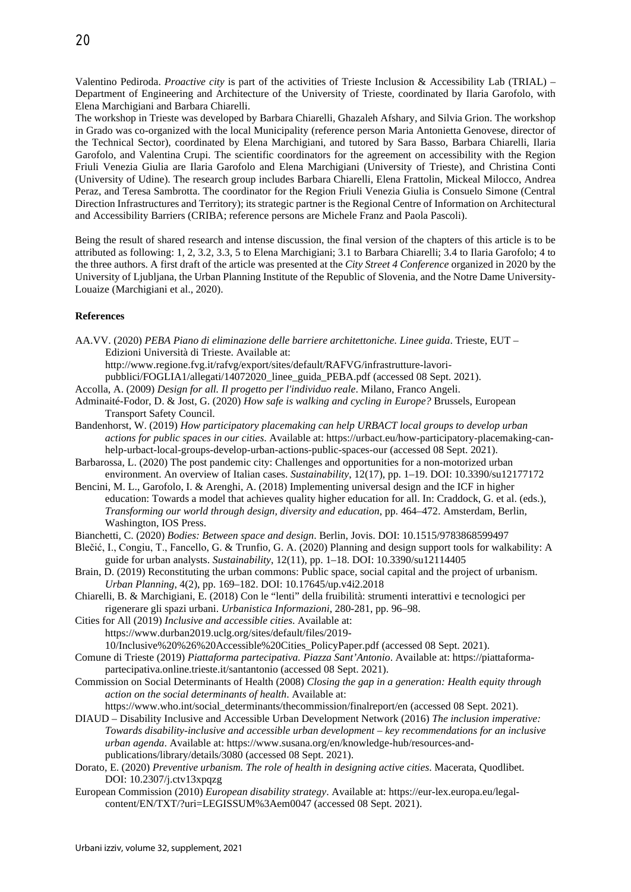Valentino Pediroda. *Proactive city* is part of the activities of Trieste Inclusion & Accessibility Lab (TRIAL) – Department of Engineering and Architecture of the University of Trieste, coordinated by Ilaria Garofolo, with Elena Marchigiani and Barbara Chiarelli.

The workshop in Trieste was developed by Barbara Chiarelli, Ghazaleh Afshary, and Silvia Grion. The workshop in Grado was co-organized with the local Municipality (reference person Maria Antonietta Genovese, director of the Technical Sector), coordinated by Elena Marchigiani, and tutored by Sara Basso, Barbara Chiarelli, Ilaria Garofolo, and Valentina Crupi. The scientific coordinators for the agreement on accessibility with the Region Friuli Venezia Giulia are Ilaria Garofolo and Elena Marchigiani (University of Trieste), and Christina Conti (University of Udine). The research group includes Barbara Chiarelli, Elena Frattolin, Mickeal Milocco, Andrea Peraz, and Teresa Sambrotta. The coordinator for the Region Friuli Venezia Giulia is Consuelo Simone (Central Direction Infrastructures and Territory); its strategic partner is the Regional Centre of Information on Architectural and Accessibility Barriers (CRIBA; reference persons are Michele Franz and Paola Pascoli).

Being the result of shared research and intense discussion, the final version of the chapters of this article is to be attributed as following: 1, 2, 3.2, 3.3, 5 to Elena Marchigiani; 3.1 to Barbara Chiarelli; 3.4 to Ilaria Garofolo; 4 to the three authors. A first draft of the article was presented at the *City Street 4 Conference* organized in 2020 by the University of Ljubljana, the Urban Planning Institute of the Republic of Slovenia, and the Notre Dame University-Louaize (Marchigiani et al., 2020).

#### **References**

AA.VV. (2020) *PEBA Piano di eliminazione delle barriere architettoniche. Linee guida*. Trieste, EUT – Edizioni Università di Trieste. Available at:

http://www.regione.fvg.it/rafvg/export/sites/default/RAFVG/infrastrutture-lavori-

- pubblici/FOGLIA1/allegati/14072020\_linee\_guida\_PEBA.pdf (accessed 08 Sept. 2021).
- Accolla, A. (2009) *Design for all. Il progetto per l'individuo reale*. Milano, Franco Angeli.
- Adminaité-Fodor, D. & Jost, G. (2020) *How safe is walking and cycling in Europe?* Brussels, European Transport Safety Council.
- Bandenhorst, W. (2019) *How participatory placemaking can help URBACT local groups to develop urban actions for public spaces in our cities*. Available at: https://urbact.eu/how-participatory-placemaking-canhelp-urbact-local-groups-develop-urban-actions-public-spaces-our (accessed 08 Sept. 2021).
- Barbarossa, L. (2020) The post pandemic city: Challenges and opportunities for a non-motorized urban environment. An overview of Italian cases. *Sustainability*, 12(17), pp. 1–19. DOI: 10.3390/su12177172
- Bencini, M. L., Garofolo, I. & Arenghi, A. (2018) Implementing universal design and the ICF in higher education: Towards a model that achieves quality higher education for all. In: Craddock, G. et al. (eds.), *Transforming our world through design, diversity and education*, pp. 464–472. Amsterdam, Berlin, Washington, IOS Press.
- Bianchetti, C. (2020) *Bodies: Between space and design*. Berlin, Jovis. DOI: 10.1515/9783868599497
- Blečić, I., Congiu, T., Fancello, G. & Trunfio, G. A. (2020) Planning and design support tools for walkability: A guide for urban analysts. *Sustainability*, 12(11), pp. 1–18. DOI: 10.3390/su12114405
- Brain, D. (2019) Reconstituting the urban commons: Public space, social capital and the project of urbanism. *Urban Planning*, 4(2), pp. 169–182. DOI: 10.17645/up.v4i2.2018
- Chiarelli, B. & Marchigiani, E. (2018) Con le "lenti" della fruibilità: strumenti interattivi e tecnologici per rigenerare gli spazi urbani. *Urbanistica Informazioni*, 280-281, pp. 96–98.
- Cities for All (2019) *Inclusive and accessible cities*. Available at: https://www.durban2019.uclg.org/sites/default/files/2019- 10/Inclusive%20%26%20Accessible%20Cities\_PolicyPaper.pdf (accessed 08 Sept. 2021).
- Comune di Trieste (2019) *Piattaforma partecipativa. Piazza Sant'Antonio*. Available at: https://piattaformapartecipativa.online.trieste.it/santantonio (accessed 08 Sept. 2021).
- Commission on Social Determinants of Health (2008) *Closing the gap in a generation: Health equity through action on the social determinants of health*. Available at:
- https://www.who.int/social\_determinants/thecommission/finalreport/en (accessed 08 Sept. 2021). DIAUD – Disability Inclusive and Accessible Urban Development Network (2016) *The inclusion imperative: Towards disability-inclusive and accessible urban development – key recommendations for an inclusive urban agenda*. Available at: https://www.susana.org/en/knowledge-hub/resources-andpublications/library/details/3080 (accessed 08 Sept. 2021).
- Dorato, E. (2020) *Preventive urbanism. The role of health in designing active cities*. Macerata, Quodlibet. DOI: 10.2307/j.ctv13xpqzg
- European Commission (2010) *European disability strategy*. Available at: https://eur-lex.europa.eu/legalcontent/EN/TXT/?uri=LEGISSUM%3Aem0047 (accessed 08 Sept. 2021).